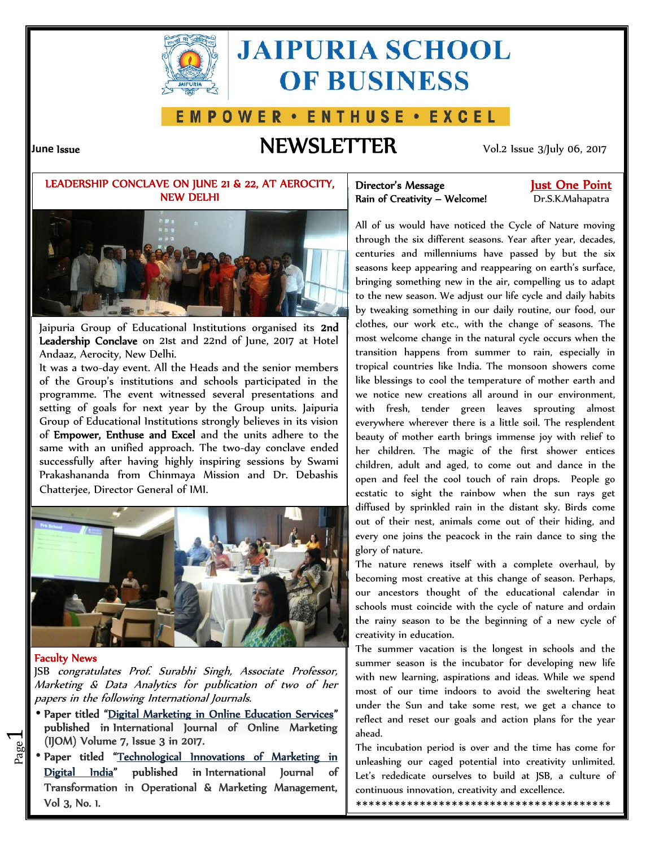

# **JAIPURIA SCHOOL OF BUSINESS**

## **EMPOWER • ENTHUSE • EXCEL**

# **June Issue NEWSLETTER** Vol.2 Issue 3/July 06, 2017

### **LEADERSHIP CONCLAVE ON JUNE 21 & 22, AT AEROCITY, NEW DELHI**



Jaipuria Group of Educational Institutions organised its **2nd Leadership Conclave** on 21st and 22nd of June, 2017 at Hotel Andaaz, Aerocity, New Delhi.

It was a two-day event. All the Heads and the senior members of the Group's institutions and schools participated in the programme. The event witnessed several presentations and setting of goals for next year by the Group units. Jaipuria Group of Educational Institutions strongly believes in its vision of **Empower, Enthuse and Excel** and the units adhere to the same with an unified approach. The two-day conclave ended successfully after having highly inspiring sessions by Swami Prakashananda from Chinmaya Mission and Dr. Debashis Chatterjee, Director General of IMI.



#### **Faculty News**

 $\overline{\phantom{0}}$ 

JSB *congratulates Prof. Surabhi Singh, Associate Professor, Marketing & Data Analytics for publication of two of her papers in the following International Journals.*

- **(IJOM) Volume 7, Issue 3 in 2017. Paper titled "Digital Marketing in Online Education Services" published in International Journal of Online Marketing**
- **Example 19 The index of the Supervisors of Marketing in** The index Paper titled "<u>Technological Innovations of Marketing in</u> The in Digital India" published in International Journal **Transformation in Operational & Marketing Management, Vol 3, No. 1.**

### **Director's Message Just One Point Rain of Creativity – Welcome!** Dr.S.K.Mahapatra

All of us would have noticed the Cycle of Nature moving through the six different seasons. Year after year, decades, centuries and millenniums have passed by but the six seasons keep appearing and reappearing on earth's surface, bringing something new in the air, compelling us to adapt to the new season. We adjust our life cycle and daily habits by tweaking something in our daily routine, our food, our clothes, our work etc., with the change of seasons. The most welcome change in the natural cycle occurs when the transition happens from summer to rain, especially in tropical countries like India. The monsoon showers come like blessings to cool the temperature of mother earth and we notice new creations all around in our environment, with fresh, tender green leaves sprouting almost everywhere wherever there is a little soil. The resplendent beauty of mother earth brings immense joy with relief to her children. The magic of the first shower entices children, adult and aged, to come out and dance in the open and feel the cool touch of rain drops. People go ecstatic to sight the rainbow when the sun rays get diffused by sprinkled rain in the distant sky. Birds come out of their nest, animals come out of their hiding, and every one joins the peacock in the rain dance to sing the glory of nature.

The nature renews itself with a complete overhaul, by becoming most creative at this change of season. Perhaps, our ancestors thought of the educational calendar in schools must coincide with the cycle of nature and ordain the rainy season to be the beginning of a new cycle of creativity in education.

The summer vacation is the longest in schools and the summer season is the incubator for developing new life with new learning, aspirations and ideas. While we spend most of our time indoors to avoid the sweltering heat under the Sun and take some rest, we get a chance to reflect and reset our goals and action plans for the year ahead.

The incubation period is over and the time has come for unleashing our caged potential into creativity unlimited. Let's rededicate ourselves to build at JSB, a culture of continuous innovation, creativity and excellence.

\*\*\*\*\*\*\*\*\*\*\*\*\*\*\*\*\*\*\*\*\*\*\*\*\*\*\*\*\*\*\*\*\*\*\*\*\*\*\*\*